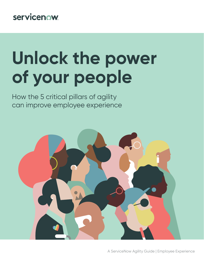### servicenow.

# **Unlock the power of your people**

How the 5 critical pillars of agility can improve employee experience

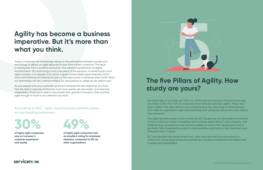## **The five Pillars of Agility. How sturdy are yours?**

Not quite agile as you'd like yet? Fear not. While most are striving to become more agile, according to IDC only 11.6% of companies have achieved optimized agility<sup>1</sup>. Many have taken strides in the right direction, but understanding the wide range of characteristics that make an organization agile and prioritizing them all equally has proven more difficult than expected.

This agile mentality needs to start at the top. ESI ThoughtLab and ServiceNow found that a third of CEOs are taking the leading role in business agility efforts<sup>2</sup>, advocating for, and implementing, the platforms and solutions needed to match their desired goal. And to get there, 36% of organizations plan to make workflow automation a top investment area during the next 1-2 years.

IDC has identified the unique tenets that, when executed well and supported by a culture that values great employee experiences, can give an enterprise the highest level of speed and adaptability.

#### servicenow.

**According to IDC1, agile organizations perform better on key leading indicators.**

**of highly agile companies saw an increase in customer experience and loyalty**

**of highly agile companies had an excellent rating for employee retention, compared to 15% for other organizations**





## **Agility has become a business imperative. But it's more than what you think.**

Today, companies are increasingly relying on the partnership between people and technology to deliver an agile response to real-time market conditions. The result is nothing less than a workflow revolution—the clearest manifestation of digital transformation. But technology is only one piece of the equation. A powerful part of an agile company is its people and culture. A great culture needs great empathy, which starts with listening and feeling the pain or the opportunity in someone else's world. What our technology can do is almost limitless. So, the question is, where do we need to go?

As your people and your customers guide you towards the next objective, you must then be able to execute. Enterprises must move quickly, be resourceful, and embrace adaptability. Once you're able to accomplish fast, graceful innovation, then you'll be agile enough to move in any direction you want.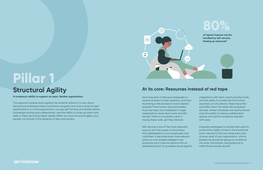This approach pushes back against the extreme notions of a top-down, hierarchical workplace where commands are given and work is done to rigid specifications. In a fluid organization, you see self-forming and diverse teams, knowledge sharing and collaboration, and the ability to scale up talent and skills to meet upcoming needs rapidly. When you have structural agility, your people can flourish in the absence of silos and barriers.

## **Structural Agility**

A company's ability to support an open, flexible organization. The state of the state of the state of the state of the state of the state of the state your employees to

receive answers to their questions, and how frustrating is the process to reach desired answers? Most human resource leaders know red tape and roadblocks in large organizations slows down work and kills morale. There is no business value in having these walls, yet they still exist.

**of repeat inquires can be handled by self-service,**  freeing up resources<sup>3</sup>



Self-service is one of the most impactful ways to shift the power of information from gatekeepers to your employees and customers. It becomes even more relevant when you can enable intelligent and proactive omni-channel options with an employee portal, AI-powered virtual agents,

#### servicenow

integrations with team communication tools, and the ability to access this information anywhere, on any device. These impactful tools filter down into areas like workplace services, where individuals and teams should have the ability to reserve collaboration spaces and submit workplace requests with ease.

Empower employees to choose their path to productivity. Agility comes in the situational micro-decisions that are made every day at every level of your organization, and as leaders we should be giving our workforce the tools, information, and guidance to make those choices quickly.

#### **At its core: Resources instead of red tape**



# **Pillar 1**

# **80%**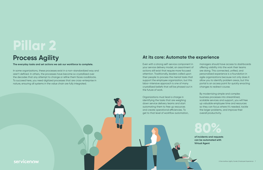#### **At its core: Automate the experience**

Even with a strong self-service component in your service delivery model, an assortment of actions still exist that require more focused attention. Traditionally, leaders called upon their people to process the menial tasks that support the employee organization, but this labor-intensive approach is one of many crystallized beliefs that will be phased out in the future of work.

Organizations must lead a charge in identifying the tasks that are weighing down service delivery teams and start automating them to free up resources and create operational efficiencies. To get to that level of workflow automation,

servicenow

managers should have access to dashboards offering visibility into the work their teams are doing. This connected, unified, and personalized experience is a foundation in agile organizations because not only does it allow you to identify problem areas, but this portal is an access point for quickly enacting changes to redirect course.

By modernizing simple and complex business processes into streamlined, scalable services and support, you will free up valuable employee time and resources so they can focus where it's needed, tackle the larger problems, and improve their overall productivity.

In some organizations, these processes exist in a non-standardized way and aren't defined. In others, the processes have become so crystallized over the decades that any attempt to change or refine them faces roadblocks. To succeed here, you need digitized processes that are cross-enterprise in nature, ensuring all systems in the value chain are fully integrated.

## **Process Agility**

**The everyday tasks and set actions we ask our workforce to complete.**

# **Pillar 2**

**of incidents and requests can be automated with Virtual Agent 80%**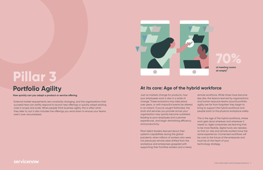#### **At its core: Age of the hybrid workforce**

Just as markets change for products, how your employees work is also in a state of change. These evolutions may take place over years, or with impactful events be altered in an instant. If you're caught flatfooted, the tools and services you provide across your organization may quickly become outdated, leading to poor employee and customer experiences, and begin diminishing efficiency and productivity.

Most talent leaders learned about their system's capabilities during the global pandemic when millions of workers who were not previously remote were shifted from the workplace and enterprises grappled with supporting their frontline workers and a newly

#### servicenow

remote workforce. While times have become less dire, the lessons learned by organizations and human resource teams around portfolio agility are far from forgotten they begin to bring to support the hybrid workforce and people back to the physical workplace safely.

This is the age of the hybrid workforce, where work gets done wherever and whenever it needs to. Agile companies are learning that to be more flexible, digital tools are needed, so that on-site and remote workers have the same experience. Connected workflows will be core to the future of the enterprise and must be at the heart of your technology strategy.

External market requirements are constantly changing, and the organizations that succeed here can swiftly respond to launch new offerings or quickly adapt existing ones in scope and scale. When people think business agility, this is often what they refer to, but it also includes the offerings you wind down to ensure your teams aren't over-encumbered.

## **Portfolio Agility**

#### **How quickly can you adapt a product or service offering.**

# **Pillar 3**

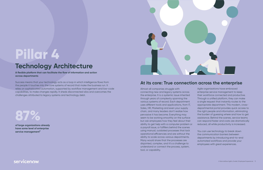#### **At its core: True connection across the enterprise**

Almost all companies struggle with connecting new and legacy systems across the enterprise. It is a systemic issue inherited through years of complexity spanning the various systems of record. Each department uses different tools and applications, from IT, Sales, HR, Marketing and even your supply chain, and many leaders don't realize how pervasive it has become. Everything may seem to be working smoothly on the surface but ask employees how they feel about their ability to get help with a computer problem or a payroll issue, or fulfillers behind the scenes using manual, outdated processes that lack operational efficiencies and are without the ability to scale across various departments. Many would share that the processes are disjointed, complex, and it's a challenge to understand or connect the process, system, tool, or capability.

#### servicenow

**of large organizations already have some level of enterprise**  service management<sup>5</sup>



Agile organizations have embraced enterprise service management to keep their workforce connected and productive. Through a unified platform, they can make a single request that instantly routes to the appropriate department. This modern, crossdepartmental portal provides quick access to the right people and information, eliminating the burden of guessing where and how to get assistance. Behind the scenes, service teams can respond faster and costs are dramatically reduced, all while productivity is increased.

You can use technology to break down the communication barriers between departments by introducing end-to-end automated workflows and provide your employees with great experiences.

Success means that your technology acts as a loop in which intelligence flows from the people it touches into the core systems of record that make the business run. It relies on sophisticated automation, supported by workflow management and low-code capabilities, to make changes rapidly. It sheds disconnected silos and overcomes the challenges attributed to legacy systems and technology debt.

## **Technology Architecture**

**A flexible platform that can facilitate the flow of information and action across departments**

# **Pillar 4**

**87%**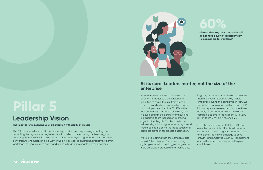

#### **At its core: Leaders matter, not the size of the enterprise**

As leaders, we can move mountains, and it sometimes requires a bold, relentless executive to shake the rust from archaic processes and rally an organization around supporting a new direction. CHROs in the top-performing companies play a key role in developing an agile culture and building a leadership team focused on improving organizational agility. This team sets the vision and goals for organizational agility and should be championing the introduction of a complete platform for process automation.

We're also learning that the company's size shouldn't be a blocker for those pushing an agile agenda. With their bigger budgets and more developed processes and technology,

large organizations proved to be more agile than the smaller, stereotypically nimble enterprises during the pandemic. In fact, ESI found that organizations with revenues of \$5 billion or greater were more than three times as likely to be "considerably or very agile" compared to small organizations with \$500 million to \$999 million in revenue (2).

**of executives say their companies still do not have a fully integrated system**  to manage digital workflows<sup>6</sup>

Over the next few years, CHROs, CIOs and even the Heads of Real Estate will become responsible for creating new business models and identifying new technology to drive growth—and Employee Journey Management across the enterprise is expected to play a crucial role.

This falls on you. Where traditional leadership has focused on planning, directing, and controlling the organization, agile leadership is all about envisioning, architecting, and coaching. From the C-Suite down to the division leaders, an organization must have the conviction to champion an agile way of working across the enterprise, proactively identify workflows that require more agility and allocate budgets to enable better outcomes.

#### servicenow

## **Leadership Vision**

#### **The impetus for reinventing your organization with agility at its core**

# **Pillar 5**

# **60%**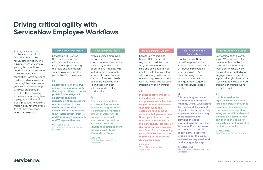## **Driving critical agility with ServiceNow Employee Workflows**

Any organization can achieve top marks in all five pillars, but it takes focus, determination, and a blueprint. As you assess your agile capabilities, consider taking advantage of ServiceNow as a foundation. We're delivering digital workflows to create meaningful experiences for your workforce that adapt with your enterprise. By elevating the employee experience, you strengthen loyalty, motivation and boost productivity. You also make it easy for employees to get what they need, when they need it.

#### **Pillar 3: Portfolio Agility**

ServiceNow Workplace Service Delivery provides organizations all the tools they need to manage a safe and efficient return of employees to the workplace, while focusing on the future of the enterprise built to last with the flexibility required to support a hybrid workforce.

#### 66

#### **Pillar 4: Technology Architecture**

Enabling ServiceNow as an Enterprise Service Management solution is not just about implementing new technology; it's about bringing HR and the departments within an organization together to deliver service-based solutions.

#### 66

#### **Pillar 5: Leadership Vision**

ServiceNow can't give you vision. What we can offer are the tools to make your vision real. Organizations must transform how work gets performed with digital engagement channels to support the hybrid workforce. If you're ready to spearhead that kind of change, we're ready to assist.

#### 66

**Blake McConnell** SVP, Employee Workflow Products, **ServiceNow** 

#### **Pillar 1: Structural Agility**

Chief Information Officer, **ServiceNow** 

ServiceNow HR Service Delivery is overflowing with self-service options for your enterprise, putting the tools and information your employees need to be productive from anywhere.

#### 66

#### **Pillar 2: Process Agility**

**Kelly Kent** Chief Transformation Officer, **ServiceNow** 

With our unified employee portal, your people go to one place to request service or support, regardless of department. That inquiry is routed to the appropriate team, tasks are automated, and work flows seamlessly across the Now Platform, saving those on both side time and boosting productivity.

#### 66

**Gretchen Alarcon** VP and GM of HR Service Delivery, **ServiceNow** 

**It's about asking the right questions. It's about listening carefully enough to recognize the big idea and then immediately getting energy around that idea and galvanizing a team so they can change the game for the customer and deliver the market opportunity.**

**Bill McDermott** Chief Executive Officer, ServiceNow

**This burnout goes beyond just IT. Human Rresources, Ffinance, Llegal, Wworkplace Sservices, and Ssecurity all play vital roles in supporting employees, communicating policy changes, and providing the right information at the right time. Without uniform processes that connect across all departments, people will struggle to get the support and services they need, and productivity will plunge.**

**In order to stay competitive in the digital economy, companies must deliver the simple, intuitive experiences that employees and customers have come to expect in their personal lives. Now is your chance to drop outdated technologies and make meaningful progress on digitizing your core business workflows. Focus on reducing your offline work, rather than regressing to the cluttered, disorganized past.**

#### **Chris Bedi**

**From the inside looking out, everything seems to be working. Organizations still think it takes a certain amount of workers to do these jobs because it's how they've always done it. They've never had a solution that afforded them the opportunity to do it differently until now.**

**Employees are on their own unique career journeys with their organizations, and each path is fluid and dynamic. Employees should be supported with resources that are personalized to their needs and tools that connect all the departments they'll interact with—from HR and IT to Legal, Procurement, and Workplace Services.**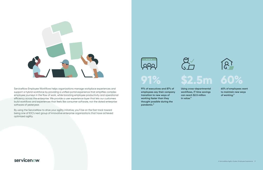

ServiceNow Employee Workflows helps organizations manage workplace experiences and support a hybrid workforce by providing a unified portal experience that simplifies complex employee journeys in the flow of work, while boosting employee productivity and operational efficiency across the enterprise. We provide a user experience layer that lets our customers build workflows and experiences that feels like consumer software, not the dated enterprise software of yesteryear.

By using the ServiceNow to drive your agility initiative, you'll be on the fast track toward being one of IDC's next group of innovative enterprise organizations that have achieved optimized agility.





# **91%**

**Using cross-departmental workflows, IT time savings can reach \$2.5 million in value.3**

#### servicenow.

# **\$2.5m**



**60% of employees want to maintain new ways of working.6**